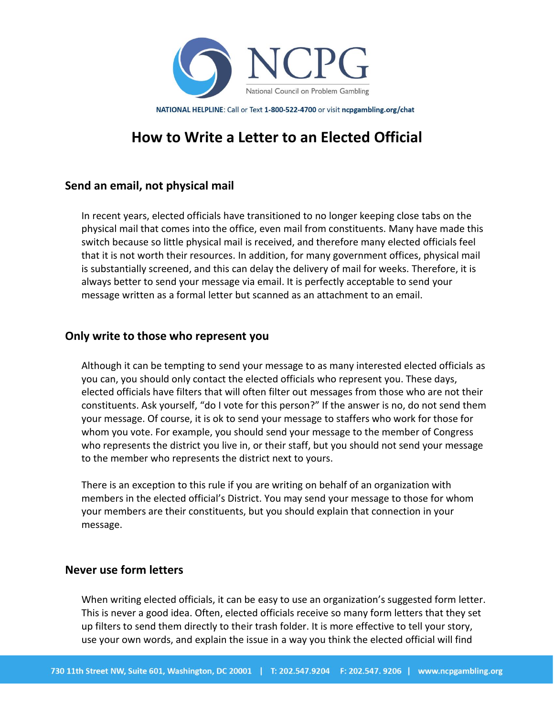

NATIONAL HELPLINE: Call or Text 1-800-522-4700 or visit ncpgambling.org/chat

# **How to Write a Letter to an Elected Official**

# **Send an email, not physical mail**

In recent years, elected officials have transitioned to no longer keeping close tabs on the physical mail that comes into the office, even mail from constituents. Many have made this switch because so little physical mail is received, and therefore many elected officials feel that it is not worth their resources. In addition, for many government offices, physical mail is substantially screened, and this can delay the delivery of mail for weeks. Therefore, it is always better to send your message via email. It is perfectly acceptable to send your message written as a formal letter but scanned as an attachment to an email.

### **Only write to those who represent you**

Although it can be tempting to send your message to as many interested elected officials as you can, you should only contact the elected officials who represent you. These days, elected officials have filters that will often filter out messages from those who are not their constituents. Ask yourself, "do I vote for this person?" If the answer is no, do not send them your message. Of course, it is ok to send your message to staffers who work for those for whom you vote. For example, you should send your message to the member of Congress who represents the district you live in, or their staff, but you should not send your message to the member who represents the district next to yours.

There is an exception to this rule if you are writing on behalf of an organization with members in the elected official's District. You may send your message to those for whom your members are their constituents, but you should explain that connection in your message.

## **Never use form letters**

When writing elected officials, it can be easy to use an organization's suggested form letter. This is never a good idea. Often, elected officials receive so many form letters that they set up filters to send them directly to their trash folder. It is more effective to tell your story, use your own words, and explain the issue in a way you think the elected official will find